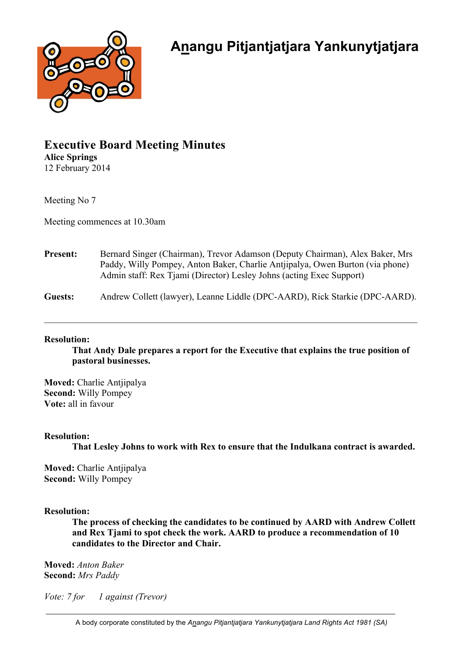

# **Executive Board Meeting Minutes Alice Springs** 12 February 2014

Meeting No 7

Meeting commences at 10.30am

| <b>Present:</b> | Bernard Singer (Chairman), Trevor Adamson (Deputy Chairman), Alex Baker, Mrs<br>Paddy, Willy Pompey, Anton Baker, Charlie Antiipalya, Owen Burton (via phone)<br>Admin staff: Rex Tjami (Director) Lesley Johns (acting Exec Support) |
|-----------------|---------------------------------------------------------------------------------------------------------------------------------------------------------------------------------------------------------------------------------------|
| Guests:         | Andrew Collett (lawyer), Leanne Liddle (DPC-AARD), Rick Starkie (DPC-AARD).                                                                                                                                                           |

\_\_\_\_\_\_\_\_\_\_\_\_\_\_\_\_\_\_\_\_\_\_\_\_\_\_\_\_\_\_\_\_\_\_\_\_\_\_\_\_\_\_\_\_\_\_\_\_\_\_\_\_\_\_\_\_\_\_\_\_\_\_\_\_\_\_\_\_\_\_\_\_\_\_\_\_\_\_\_\_

#### **Resolution:**

**That Andy Dale prepares a report for the Executive that explains the true position of pastoral businesses.**

**Moved:** Charlie Antjipalya **Second:** Willy Pompey **Vote:** all in favour

## **Resolution:**

**That Lesley Johns to work with Rex to ensure that the Indulkana contract is awarded.** 

**Moved:** Charlie Antjipalya **Second:** Willy Pompey

## **Resolution:**

**The process of checking the candidates to be continued by AARD with Andrew Collett and Rex Tjami to spot check the work. AARD to produce a recommendation of 10 candidates to the Director and Chair.**

**Moved:** *Anton Baker* **Second:** *Mrs Paddy*

*Vote: 7 for 1 against (Trevor)*